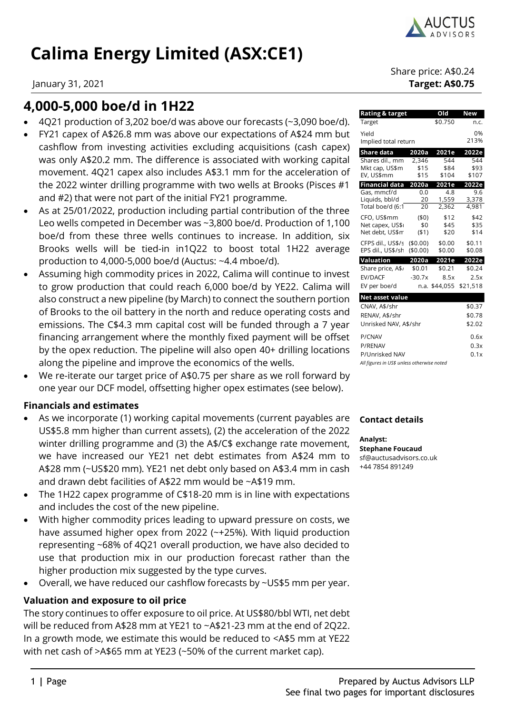

# **Calima Energy Limited (ASX:CE1)**

## **4,000-5,000 boe/d in 1H22**

- 4Q21 production of 3,202 boe/d was above our forecasts (~3,090 boe/d).
- FY21 capex of A\$26.8 mm was above our expectations of A\$24 mm but cashflow from investing activities excluding acquisitions (cash capex) was only A\$20.2 mm. The difference is associated with working capital movement. 4Q21 capex also includes A\$3.1 mm for the acceleration of the 2022 winter drilling programme with two wells at Brooks (Pisces #1 and #2) that were not part of the initial FY21 programme.
- As at 25/01/2022, production including partial contribution of the three Leo wells competed in December was ~3,800 boe/d. Production of 1,100 boe/d from these three wells continues to increase. In addition, six Brooks wells will be tied-in in1Q22 to boost total 1H22 average production to 4,000-5,000 boe/d (Auctus: ~4.4 mboe/d).
- Assuming high commodity prices in 2022, Calima will continue to invest to grow production that could reach 6,000 boe/d by YE22. Calima will also construct a new pipeline (by March) to connect the southern portion of Brooks to the oil battery in the north and reduce operating costs and emissions. The C\$4.3 mm capital cost will be funded through a 7 year financing arrangement where the monthly fixed payment will be offset by the opex reduction. The pipeline will also open 40+ drilling locations along the pipeline and improve the economics of the wells.
- We re-iterate our target price of A\$0.75 per share as we roll forward by one year our DCF model, offsetting higher opex estimates (see below).

## **Financials and estimates**

- As we incorporate (1) working capital movements (current payables are US\$5.8 mm higher than current assets), (2) the acceleration of the 2022 winter drilling programme and (3) the A\$/C\$ exchange rate movement, we have increased our YE21 net debt estimates from A\$24 mm to A\$28 mm (~US\$20 mm). YE21 net debt only based on A\$3.4 mm in cash and drawn debt facilities of A\$22 mm would be ~A\$19 mm.
- The 1H22 capex programme of C\$18-20 mm is in line with expectations and includes the cost of the new pipeline.
- With higher commodity prices leading to upward pressure on costs, we have assumed higher opex from 2022 (~+25%). With liquid production representing ~68% of 4Q21 overall production, we have also decided to use that production mix in our production forecast rather than the higher production mix suggested by the type curves.
- Overall, we have reduced our cashflow forecasts by ~US\$5 mm per year.

## **Valuation and exposure to oil price**

The story continues to offer exposure to oil price. At US\$80/bbl WTI, net debt will be reduced from A\$28 mm at YE21 to ~A\$21-23 mm at the end of 2Q22. In a growth mode, we estimate this would be reduced to <A\$5 mm at YE22 with net cash of >A\$65 mm at YE23 (~50% of the current market cap).

Share price: A\$0.24 January 31, 2021 **Target: A\$0.75**

| Rating & target                    |          | Old           | New        |
|------------------------------------|----------|---------------|------------|
| Target                             |          | \$0.750       | n.c.       |
| Yield<br>Implied total return      |          |               | 0%<br>213% |
| <b>Share data</b>                  | 2020a    | 2021e         | 2022e      |
| Shares dil., mm                    | 2.346    | 544           | 544        |
| Mkt cap, US\$m                     | \$15     | \$84          | \$93       |
| EV, US\$mm                         | \$15     | \$104         | \$107      |
| <b>Financial data</b>              | 2020a    | 2021e         | 2022e      |
| Gas, mmcf/d                        | 0.0      | 4.8           | 9.6        |
| Liquids, bbl/d<br>Total boe/d (6:1 | 20<br>20 | 1,559         | 3,378      |
|                                    |          | 2,362         | 4,981      |
| CFO, US\$mm                        | (50)     | \$12          | \$42       |
| Net capex, US\$                    | \$0      | \$45          | \$35       |
| Net debt, US\$m                    | (51)     | \$20          | \$14       |
| CFPS dil., US\$/s                  | (\$0.00) | \$0.00        | \$0.11     |
| EPS dil., US\$/sh                  | (\$0.00) | \$0.00        | \$0.08     |
| Valuation                          | 2020a    | 2021e         | 2022e      |
| Share price, A\$,                  | \$0.01   | \$0.21        | \$0.24     |
| <b>FV/DACF</b>                     | $-30.7x$ | 8.5x          | 2.5x       |
| EV per boe/d                       |          | n.a. \$44,055 | \$21,518   |

| Net asset value                            |        |
|--------------------------------------------|--------|
| CNAV, A\$/shr                              | \$0.37 |
| RENAV, A\$/shr                             | \$0.78 |
| Unrisked NAV, A\$/shr                      | \$2.02 |
| P/CNAV                                     | 0.6x   |
| <b>P/RENAV</b>                             | 0.3x   |
| P/Unrisked NAV                             | 0.1x   |
| All figures in US\$ unless otherwise noted |        |

### **Contact details**

**Analyst: Stephane Foucaud**  sf@auctusadvisors.co.uk +44 7854 891249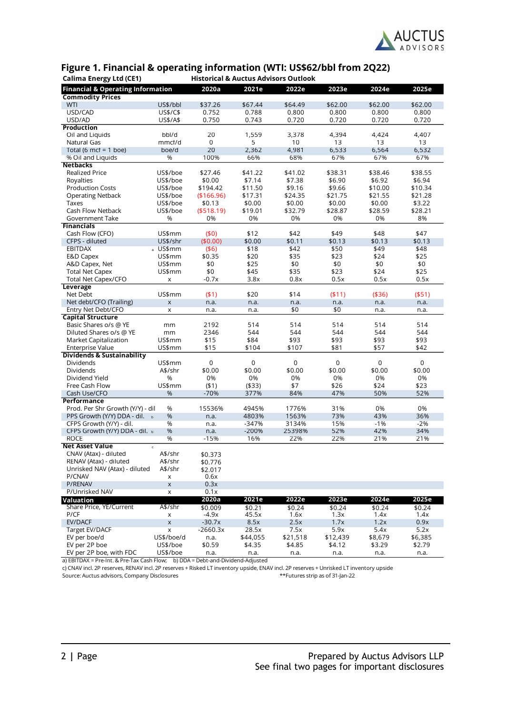

## **Figure 1. Financial & operating information (WTI: US\$62/bbl from 2Q22)**

| <b>Financial &amp; Operating Information</b><br>2020a<br>2021e<br>2022e<br>2023e<br>2024e                                               | 2025e       |
|-----------------------------------------------------------------------------------------------------------------------------------------|-------------|
| <b>Commodity Prices</b>                                                                                                                 |             |
| US\$/bbl<br>\$37.26<br>\$67.44<br>\$64.49<br>\$62.00<br>\$62.00<br><b>WTI</b>                                                           | \$62.00     |
| USD/CAD<br>US\$/C\$<br>0.752<br>0.788<br>0.800<br>0.800<br>0.800                                                                        | 0.800       |
| US\$/A\$<br>0.750<br>0.743<br>0.720<br>0.720<br>0.720<br>USD/AD                                                                         | 0.720       |
| <b>Production</b>                                                                                                                       |             |
| bbl/d<br>20<br>1,559<br>3,378<br>Oil and Liquids<br>4,394<br>4,424                                                                      | 4,407       |
| mmcf/d<br>0<br>5<br>10<br>13<br>13<br>Natural Gas                                                                                       | 13          |
| 20<br>2,362<br>boe/d<br>4,981<br>6,533<br>6,564<br>Total (6 mcf = 1 boe)                                                                | 6,532       |
| %<br>100%<br>66%<br>68%<br>67%<br>% Oil and Liguids<br>67%                                                                              | 67%         |
| <b>Netbacks</b>                                                                                                                         |             |
| \$27.46<br>\$38.46<br><b>Realized Price</b><br>US\$/boe<br>\$41.22<br>\$41.02<br>\$38.31                                                | \$38.55     |
| US\$/boe<br>\$0.00<br>\$7.14<br>\$7.38<br>\$6.90<br>\$6.92<br>Royalties                                                                 | \$6.94      |
| <b>Production Costs</b><br>US\$/boe<br>\$11.50<br>\$9.16<br>\$9.66<br>\$10.00<br>\$194.42                                               | \$10.34     |
| US\$/boe<br>(\$166.96)<br>\$17.31<br>\$24.35<br>\$21.55<br><b>Operating Netback</b><br>\$21.75                                          | \$21.28     |
| \$0.00<br>\$0.00<br>\$0.00<br>Taxes<br>US\$/boe<br>\$0.13<br>\$0.00                                                                     | \$3.22      |
| Cash Flow Netback<br>US\$/boe<br>( \$518.19)<br>\$19.01<br>\$32.79<br>\$28.87<br>\$28.59                                                | \$28.21     |
| %<br>0%<br>0%<br>0%<br>Government Take<br>0%<br>0%                                                                                      | 8%          |
| <b>Financials</b>                                                                                                                       |             |
| US\$mm<br>(50)<br>\$12<br>\$42<br>\$49<br>\$48<br>Cash Flow (CFO)                                                                       | \$47        |
| \$0.11<br>US\$/shr<br>(\$0.00)<br>\$0.00<br>\$0.13<br>\$0.13<br>CFPS - diluted                                                          | \$0.13      |
| <b>EBITDAX</b><br>a US\$mm<br>\$18<br>\$42<br>\$50<br>\$49<br>$($ \$6)                                                                  | \$48        |
| \$0.35<br>\$20<br>\$35<br>\$23<br>\$24<br>E&D Capex<br>US\$mm                                                                           | \$25        |
| \$0<br>\$25<br>\$0<br>\$0<br>\$0<br>A&D Capex, Net<br>US\$mm<br>\$0<br><b>Total Net Capex</b><br>US\$mm<br>\$45<br>\$35<br>\$23<br>\$24 | \$0<br>\$25 |
| 0.8x<br>$-0.7x$<br>3.8x<br>0.5x<br>0.5x                                                                                                 | 0.5x        |
| Total Net Capex/CFO<br>X<br>Leverage                                                                                                    |             |
| US\$mm<br>(51)<br>\$20<br>\$14<br>( \$11)<br>Net Debt<br>(436)                                                                          | ( \$51)     |
| Net debt/CFO (Trailing)<br>$\pmb{\times}$<br>n.a.<br>n.a.<br>n.a.<br>n.a.<br>n.a.                                                       | n.a.        |
| \$0<br>\$0<br>Entry Net Debt/CFO<br>$\pmb{\times}$<br>n.a.<br>n.a.<br>n.a.                                                              | n.a.        |
| <b>Capital Structure</b>                                                                                                                |             |
| Basic Shares o/s @ YE<br>2192<br>514<br>514<br>514<br>514<br>mm                                                                         | 514         |
| 544<br>2346<br>544<br>544<br>544<br>Diluted Shares o/s @ YE<br>mm                                                                       | 544         |
| Market Capitalization<br>US\$mm<br>\$15<br>\$84<br>\$93<br>\$93<br>\$93                                                                 | \$93        |
| US\$mm<br>\$15<br>\$104<br>\$107<br>\$81<br>\$57<br><b>Enterprise Value</b>                                                             | \$42        |
| <b>Dividends &amp; Sustainability</b>                                                                                                   |             |
| Dividends<br>US\$mm<br>0<br>0<br>$\mathbf 0$<br>0<br>0                                                                                  | 0           |
| \$0.00<br>A\$/shr<br>\$0.00<br>\$0.00<br>\$0.00<br>\$0.00<br>Dividends                                                                  | \$0.00      |
| Dividend Yield<br>%<br>0%<br>0%<br>0%<br>0%<br>0%                                                                                       | 0%          |
| US\$mm<br>(51)<br>( \$33)<br>\$7<br>\$26<br>\$24<br>Free Cash Flow                                                                      | \$23        |
| $-70%$<br>377%<br>84%<br>47%<br>50%<br>Cash Use/CFO<br>%                                                                                | 52%         |
| Performance                                                                                                                             |             |
| Prod. Per Shr Growth (Y/Y) - dil<br>15536%<br>4945%<br>1776%<br>31%<br>0%<br>%                                                          | 0%          |
| PPS Growth (Y/Y) DDA - dil.<br>%<br>4803%<br>1563%<br>73%<br>43%<br>n.a.                                                                | 36%         |
| CFPS Growth (Y/Y) - dil.<br>%<br>$-347%$<br>3134%<br>15%<br>$-1%$<br>n.a.                                                               | $-2%$       |
| %<br>$-200%$<br>25398%<br>52%<br>42%<br>CFPS Growth (Y/Y) DDA - dil. b<br>n.a.                                                          | 34%         |
| $-15%$<br>16%<br>22%<br>22%<br><b>ROCE</b><br>%<br>21%                                                                                  | 21%         |
| <b>Net Asset Value</b><br>$\mathbf c$                                                                                                   |             |
| A\$/shr<br>CNAV (Atax) - diluted<br>\$0.373                                                                                             |             |
| RENAV (Atax) - diluted<br>A\$/shr<br>\$0.776                                                                                            |             |
| Unrisked NAV (Atax) - diluted<br>A\$/shr<br>\$2.017                                                                                     |             |
| P/CNAV<br>0.6x<br>X                                                                                                                     |             |
| P/RENAV<br>$\mathsf X$<br>0.3x<br>P/Unrisked NAV                                                                                        |             |
| 0.1x<br>X<br>2020a<br>2021e<br>2022e<br>2023e<br>2024e                                                                                  | 2025e       |
| Valuation<br>Share Price, YE/Current<br>A\$/shr<br>\$0.009<br>\$0.21<br>\$0.24<br>\$0.24<br>\$0.24                                      | \$0.24      |
| P/CF<br>$-4.9x$<br>45.5x<br>1.6x<br>1.3x<br>1.4x<br>x                                                                                   | 1.4x        |
| EV/DACF<br>8.5x<br>$\mathsf X$<br>$-30.7x$<br>2.5x<br>1.7x<br>1.2x                                                                      | 0.9x        |
| 7.5x<br>5.9x<br>5.4x<br>Target EV/DACF<br>$-2660.3x$<br>28.5x<br>Χ                                                                      | 5.2x        |
| EV per boe/d<br>US\$/boe/d<br>\$44,055<br>\$21,518<br>\$12,439<br>\$8,679<br>n.a.                                                       | \$6,385     |
| EV per 2P boe<br>US\$/boe<br>\$0.59<br>\$4.35<br>\$4.85<br>\$4.12<br>\$3.29                                                             | \$2.79      |
| EV per 2P boe, with FDC<br>US\$/boe<br>n.a.<br>n.a.<br>n.a.<br>n.a.<br>n.a.                                                             | n.a.        |

a) EBITDAX = Pre-Int. & Pre-Tax Cash Flow; b) DDA = Debt-and-Dividend-Adjusted

c) CNAV incl. 2P reserves, RENAV incl. 2P reserves + Risked LT inventory upside, ENAV incl. 2P reserves + Unrisked LT inventory upside Source: Auctus advisors, Company Disclosures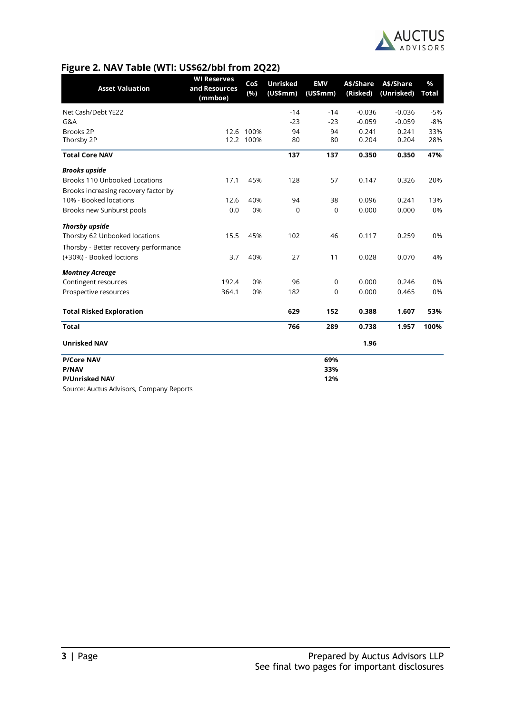

## **Figure 2. NAV Table (WTI: US\$62/bbl from 2Q22)**

| <b>Asset Valuation</b>                | <b>WI Reserves</b><br>and Resources | CoS<br>(%) | <b>Unrisked</b><br>(US\$mm) | <b>EMV</b><br>(US\$mm) | A\$/Share<br>(Risked) | A\$/Share<br>(Unrisked) | $\%$<br>Total |
|---------------------------------------|-------------------------------------|------------|-----------------------------|------------------------|-----------------------|-------------------------|---------------|
|                                       | (mmboe)                             |            |                             |                        |                       |                         |               |
| Net Cash/Debt YE22                    |                                     |            | $-14$                       | $-14$                  | $-0.036$              | $-0.036$                | $-5%$         |
| G&A                                   |                                     |            | $-23$                       | $-23$                  | $-0.059$              | $-0.059$                | $-8%$         |
| Brooks 2P                             |                                     | 12.6 100%  | 94                          | 94                     | 0.241                 | 0.241                   | 33%           |
| Thorsby 2P                            |                                     | 12.2 100%  | 80                          | 80                     | 0.204                 | 0.204                   | 28%           |
| <b>Total Core NAV</b>                 |                                     |            | 137                         | 137                    | 0.350                 | 0.350                   | 47%           |
| <b>Brooks upside</b>                  |                                     |            |                             |                        |                       |                         |               |
| <b>Brooks 110 Unbooked Locations</b>  | 17.1                                | 45%        | 128                         | 57                     | 0.147                 | 0.326                   | 20%           |
| Brooks increasing recovery factor by  |                                     |            |                             |                        |                       |                         |               |
| 10% - Booked locations                | 12.6                                | 40%        | 94                          | 38                     | 0.096                 | 0.241                   | 13%           |
| Brooks new Sunburst pools             | 0.0                                 | 0%         | 0                           | 0                      | 0.000                 | 0.000                   | 0%            |
| <b>Thorsby upside</b>                 |                                     |            |                             |                        |                       |                         |               |
| Thorsby 62 Unbooked locations         | 15.5                                | 45%        | 102                         | 46                     | 0.117                 | 0.259                   | 0%            |
| Thorsby - Better recovery performance |                                     |            |                             |                        |                       |                         |               |
| (+30%) - Booked loctions              | 3.7                                 | 40%        | 27                          | 11                     | 0.028                 | 0.070                   | 4%            |
| <b>Montney Acreage</b>                |                                     |            |                             |                        |                       |                         |               |
| Contingent resources                  | 192.4                               | 0%         | 96                          | 0                      | 0.000                 | 0.246                   | 0%            |
| Prospective resources                 | 364.1                               | 0%         | 182                         | 0                      | 0.000                 | 0.465                   | 0%            |
| <b>Total Risked Exploration</b>       |                                     |            | 629                         | 152                    | 0.388                 | 1.607                   | 53%           |
| <b>Total</b>                          |                                     |            | 766                         | 289                    | 0.738                 | 1.957                   | 100%          |
| <b>Unrisked NAV</b>                   |                                     |            |                             |                        | 1.96                  |                         |               |
| <b>P/Core NAV</b>                     |                                     |            |                             | 69%                    |                       |                         |               |
| <b>P/NAV</b>                          |                                     |            |                             | 33%                    |                       |                         |               |
| <b>P/Unrisked NAV</b>                 |                                     |            |                             | 12%                    |                       |                         |               |

Source: Auctus Advisors, Company Reports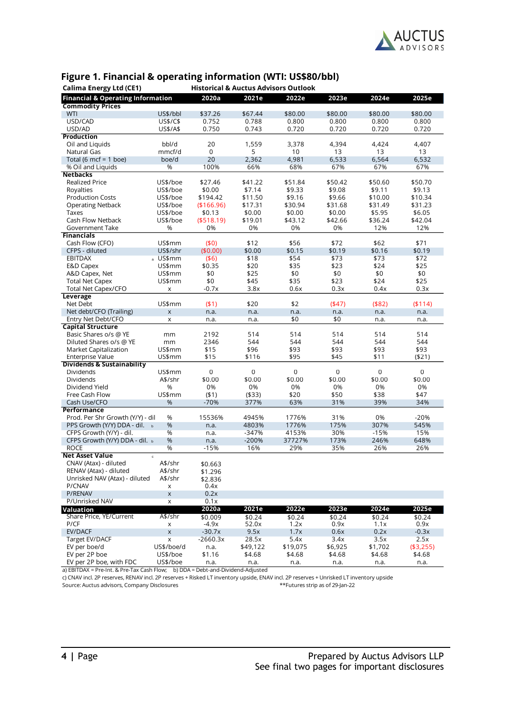

| <b>Historical &amp; Auctus Advisors Outlook</b><br><b>Calima Energy Ltd (CE1)</b> |                           |              |           |           |              |           |            |
|-----------------------------------------------------------------------------------|---------------------------|--------------|-----------|-----------|--------------|-----------|------------|
| <b>Financial &amp; Operating Information</b>                                      |                           | 2020a        | 2021e     | 2022e     | 2023e        | 2024e     | 2025e      |
| <b>Commodity Prices</b>                                                           |                           |              |           |           |              |           |            |
| WTI                                                                               | US\$/bbl                  | \$37.26      | \$67.44   | \$80.00   | \$80.00      | \$80.00   | \$80.00    |
| USD/CAD                                                                           | US\$/C\$                  | 0.752        | 0.788     | 0.800     | 0.800        | 0.800     | 0.800      |
| USD/AD                                                                            | US\$/A\$                  | 0.750        | 0.743     | 0.720     | 0.720        | 0.720     | 0.720      |
| <b>Production</b>                                                                 |                           |              |           |           |              |           |            |
| Oil and Liquids                                                                   | bbl/d                     | 20           | 1,559     | 3,378     | 4,394        | 4,424     | 4,407      |
| Natural Gas                                                                       | mmcf/d                    | $\mathbf 0$  | 5         | 10        | 13           | 13        | 13         |
| Total (6 mcf = 1 boe)                                                             | boe/d                     | 20           | 2,362     | 4,981     | 6,533        | 6,564     | 6,532      |
| % Oil and Liguids                                                                 | %                         | 100%         | 66%       | 68%       | 67%          | 67%       | 67%        |
| <b>Netbacks</b>                                                                   |                           |              |           |           |              |           |            |
| <b>Realized Price</b>                                                             | US\$/boe                  | \$27.46      | \$41.22   | \$51.84   | \$50.42      | \$50.60   | \$50.70    |
| Royalties                                                                         | US\$/boe                  | \$0.00       | \$7.14    | \$9.33    | \$9.08       | \$9.11    | \$9.13     |
| <b>Production Costs</b>                                                           | US\$/boe                  | \$194.42     | \$11.50   | \$9.16    | \$9.66       | \$10.00   | \$10.34    |
| <b>Operating Netback</b>                                                          | US\$/boe                  | (\$166.96)   | \$17.31   | \$30.94   | \$31.68      | \$31.49   | \$31.23    |
| Taxes                                                                             | US\$/boe                  | \$0.13       | \$0.00    | \$0.00    | \$0.00       | \$5.95    | \$6.05     |
| Cash Flow Netback                                                                 | US\$/boe                  | ( \$518.19)  | \$19.01   | \$43.12   | \$42.66      | \$36.24   | \$42.04    |
| Government Take                                                                   | %                         | 0%           | 0%        | 0%        | 0%           | 12%       | 12%        |
| <b>Financials</b>                                                                 |                           |              |           |           |              |           |            |
| Cash Flow (CFO)                                                                   | US\$mm                    | (50)         | \$12      | \$56      | \$72         | \$62      | \$71       |
| CFPS - diluted                                                                    | US\$/shr                  | (\$0.00)     | \$0.00    | \$0.15    | \$0.19       | \$0.16    | \$0.19     |
| <b>EBITDAX</b>                                                                    | a US\$mm                  | ( \$6)       | \$18      | \$54      | \$73         | \$73      | \$72       |
| E&D Capex                                                                         | US\$mm                    | \$0.35       | \$20      | \$35      | \$23         | \$24      | \$25       |
| A&D Capex, Net                                                                    | US\$mm                    | \$0          | \$25      | \$0       | \$0          | \$0       | \$0        |
| <b>Total Net Capex</b>                                                            | US\$mm                    | \$0          | \$45      | \$35      | \$23         | \$24      | \$25       |
| Total Net Capex/CFO                                                               | X                         | $-0.7x$      | 3.8x      | 0.6x      | 0.3x         | 0.4x      | 0.3x       |
| Leverage                                                                          |                           |              |           |           |              |           |            |
| Net Debt                                                                          | US\$mm                    | (51)         | \$20      | \$2       | (447)        | ( \$82)   | ( \$114)   |
| Net debt/CFO (Trailing)                                                           | $\mathsf X$               | n.a.         | n.a.      | n.a.      | n.a.         | n.a.      | n.a.       |
| Entry Net Debt/CFO                                                                | X                         | n.a.         | n.a.      | \$0       | \$0          | n.a.      | n.a.       |
| <b>Capital Structure</b><br>Basic Shares o/s @ YE                                 |                           |              | 514       | 514       | 514          | 514       | 514        |
| Diluted Shares o/s @ YE                                                           | mm                        | 2192<br>2346 | 544       | 544       | 544          | 544       | 544        |
|                                                                                   | mm<br>US\$mm              | \$15         | \$96      | \$93      |              | \$93      | \$93       |
| Market Capitalization<br>Enterprise Value                                         | US\$mm                    | \$15         | \$116     | \$95      | \$93<br>\$45 | \$11      | ( \$21)    |
| <b>Dividends &amp; Sustainability</b>                                             |                           |              |           |           |              |           |            |
| Dividends                                                                         | US\$mm                    | $\mathsf 0$  | $\pmb{0}$ | $\pmb{0}$ | 0            | $\pmb{0}$ | $\pmb{0}$  |
| Dividends                                                                         | A\$/shr                   | \$0.00       | \$0.00    | \$0.00    | \$0.00       | \$0.00    | \$0.00     |
| Dividend Yield                                                                    | $\%$                      | 0%           | 0%        | 0%        | 0%           | 0%        | 0%         |
| Free Cash Flow                                                                    | US\$mm                    | (51)         | ( \$33)   | \$20      | \$50         | \$38      | \$47       |
| Cash Use/CFO                                                                      | %                         | $-70%$       | 377%      | 63%       | 31%          | 39%       | 34%        |
| <b>Performance</b>                                                                |                           |              |           |           |              |           |            |
| Prod. Per Shr Growth (Y/Y) - dil                                                  | %                         | 15536%       | 4945%     | 1776%     | 31%          | 0%        | $-20%$     |
| PPS Growth (Y/Y) DDA - dil.                                                       | %                         | n.a.         | 4803%     | 1776%     | 175%         | 307%      | 545%       |
| CFPS Growth (Y/Y) - dil.                                                          | %                         | n.a.         | $-347%$   | 4153%     | 30%          | $-15%$    | 15%        |
| CFPS Growth (Y/Y) DDA - dil. b                                                    | %                         | n.a.         | $-200%$   | 37727%    | 173%         | 246%      | 648%       |
| <b>ROCE</b>                                                                       | %                         | $-15%$       | 16%       | 29%       | 35%          | 26%       | 26%        |
| <b>Net Asset Value</b>                                                            | $\mathsf{c}\,$            |              |           |           |              |           |            |
| CNAV (Atax) - diluted                                                             | A\$/shr                   | \$0.663      |           |           |              |           |            |
| RENAV (Atax) - diluted                                                            | A\$/shr                   | \$1.296      |           |           |              |           |            |
| Unrisked NAV (Atax) - diluted                                                     | A\$/shr                   | \$2.836      |           |           |              |           |            |
| P/CNAV                                                                            | X                         | 0.4x         |           |           |              |           |            |
| P/RENAV                                                                           | $\boldsymbol{\mathsf{x}}$ | 0.2x         |           |           |              |           |            |
| P/Unrisked NAV                                                                    | X                         | 0.1x         |           |           |              |           |            |
| Valuation                                                                         |                           | 2020a        | 2021e     | 2022e     | 2023e        | 2024e     | 2025e      |
| Share Price, YE/Current                                                           | A\$/shr                   | \$0.009      | \$0.24    | \$0.24    | \$0.24       | \$0.24    | \$0.24     |
| P/CF                                                                              | X                         | $-4.9x$      | 52.0x     | 1.2x      | 0.9x         | 1.1x      | 0.9x       |
| EV/DACF                                                                           | $\boldsymbol{\mathsf{x}}$ | $-30.7x$     | 9.5x      | 1.7x      | 0.6x         | 0.2x      | $-0.3x$    |
| Target EV/DACF                                                                    | $\mathsf X$               | $-2660.3x$   | 28.5x     | 5.4x      | 3.4x         | 3.5x      | 2.5x       |
| EV per boe/d                                                                      | US\$/boe/d                | n.a.         | \$49,122  | \$19,075  | \$6,925      | \$1,702   | ( \$3,255) |
| EV per 2P boe                                                                     | US\$/boe                  | \$1.16       | \$4.68    | \$4.68    | \$4.68       | \$4.68    | \$4.68     |
| EV per 2P boe, with FDC                                                           | US\$/boe                  | n.a.         | n.a.      | n.a.      | n.a.         | n.a.      | n.a.       |

## **Figure 1. Financial & operating information (WTI: US\$80/bbl)**

a) EBITDAX = Pre-Int. & Pre-Tax Cash Flow; b) DDA = Debt-and-Dividend-Adjusted

c) CNAV incl. 2P reserves, RENAV incl. 2P reserves + Risked LT inventory upside, ENAV incl. 2P reserves + Unrisked LT inventory upside

Source: Auctus advisors, Company Disclosures \*\*Futures strip as of 29-Jan-22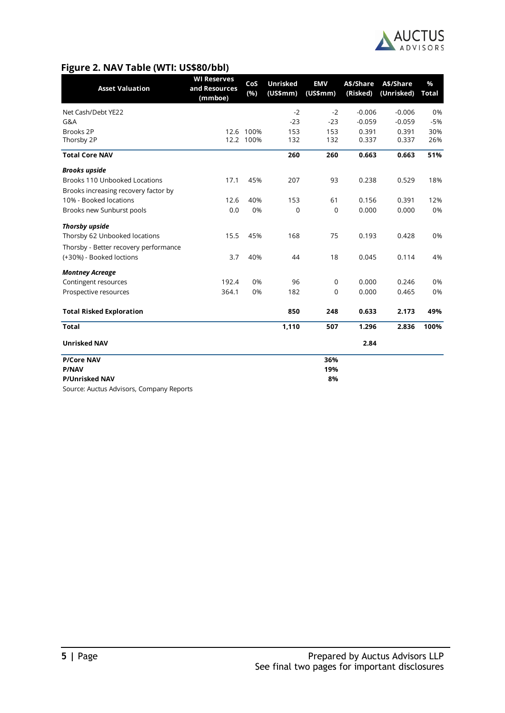

## **Figure 2. NAV Table (WTI: US\$80/bbl)**

| <b>Asset Valuation</b>                | <b>WI Reserves</b><br>and Resources | CoS<br>(%)             | <b>Unrisked</b><br>(US\$mm) | <b>EMV</b><br>(US\$mm) | A\$/Share<br>(Risked) | A\$/Share<br>(Unrisked) | $\%$<br><b>Total</b> |
|---------------------------------------|-------------------------------------|------------------------|-----------------------------|------------------------|-----------------------|-------------------------|----------------------|
|                                       | (mmboe)                             |                        |                             |                        |                       |                         |                      |
| Net Cash/Debt YE22                    |                                     |                        | $-2$                        | $-2$                   | $-0.006$              | $-0.006$                | 0%                   |
| G&A                                   |                                     |                        | $-23$                       | $-23$                  | $-0.059$              | $-0.059$                | $-5%$                |
| Brooks 2P                             |                                     | 12.6 100%<br>12.2 100% | 153<br>132                  | 153<br>132             | 0.391<br>0.337        | 0.391<br>0.337          | 30%<br>26%           |
| Thorsby 2P                            |                                     |                        |                             |                        |                       |                         |                      |
| <b>Total Core NAV</b>                 |                                     |                        | 260                         | 260                    | 0.663                 | 0.663                   | 51%                  |
| <b>Brooks upside</b>                  |                                     |                        |                             |                        |                       |                         |                      |
| <b>Brooks 110 Unbooked Locations</b>  | 17.1                                | 45%                    | 207                         | 93                     | 0.238                 | 0.529                   | 18%                  |
| Brooks increasing recovery factor by  |                                     |                        |                             |                        |                       |                         |                      |
| 10% - Booked locations                | 12.6                                | 40%                    | 153                         | 61                     | 0.156                 | 0.391                   | 12%                  |
| Brooks new Sunburst pools             | 0.0                                 | 0%                     | 0                           | $\mathbf 0$            | 0.000                 | 0.000                   | 0%                   |
| <b>Thorsby upside</b>                 |                                     |                        |                             |                        |                       |                         |                      |
| Thorsby 62 Unbooked locations         | 15.5                                | 45%                    | 168                         | 75                     | 0.193                 | 0.428                   | 0%                   |
| Thorsby - Better recovery performance |                                     |                        |                             |                        |                       |                         |                      |
| (+30%) - Booked loctions              | 3.7                                 | 40%                    | 44                          | 18                     | 0.045                 | 0.114                   | 4%                   |
| <b>Montney Acreage</b>                |                                     |                        |                             |                        |                       |                         |                      |
| Contingent resources                  | 192.4                               | 0%                     | 96                          | 0                      | 0.000                 | 0.246                   | 0%                   |
| Prospective resources                 | 364.1                               | 0%                     | 182                         | 0                      | 0.000                 | 0.465                   | 0%                   |
| <b>Total Risked Exploration</b>       |                                     |                        | 850                         | 248                    | 0.633                 | 2.173                   | 49%                  |
| <b>Total</b>                          |                                     |                        | 1,110                       | 507                    | 1.296                 | 2.836                   | 100%                 |
| <b>Unrisked NAV</b>                   |                                     |                        |                             |                        | 2.84                  |                         |                      |
| <b>P/Core NAV</b>                     |                                     |                        |                             | 36%                    |                       |                         |                      |
| <b>P/NAV</b>                          |                                     |                        |                             | 19%                    |                       |                         |                      |
| <b>P/Unrisked NAV</b>                 |                                     |                        |                             | 8%                     |                       |                         |                      |

Source: Auctus Advisors, Company Reports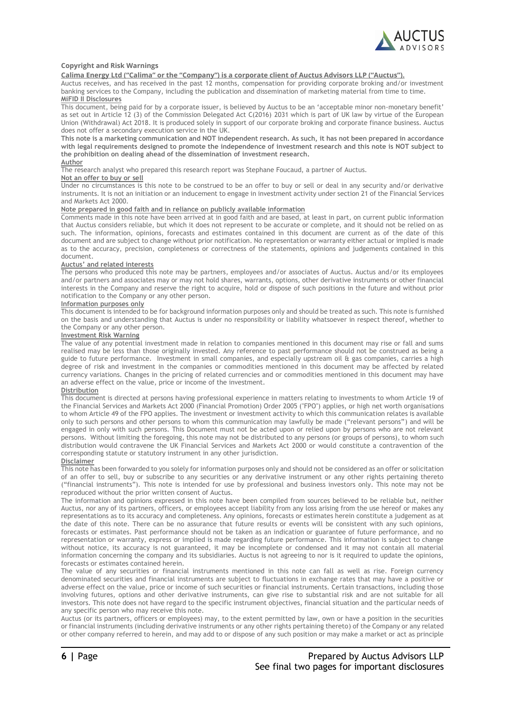

#### **Copyright and Risk Warnings**

**Calima Energy Ltd ("Calima" or the "Company") is a corporate client of Auctus Advisors LLP ("Auctus").**

Auctus receives, and has received in the past 12 months, compensation for providing corporate broking and/or investment banking services to the Company, including the publication and dissemination of marketing material from time to time. **MiFID II Disclosures**

This document, being paid for by a corporate issuer, is believed by Auctus to be an 'acceptable minor non-monetary benefit' as set out in Article 12 (3) of the Commission Delegated Act C(2016) 2031 which is part of UK law by virtue of the European Union (Withdrawal) Act 2018. It is produced solely in support of our corporate broking and corporate finance business. Auctus does not offer a secondary execution service in the UK.

**This note is a marketing communication and NOT independent research. As such, it has not been prepared in accordance with legal requirements designed to promote the independence of investment research and this note is NOT subject to the prohibition on dealing ahead of the dissemination of investment research.**

#### **Author**

The research analyst who prepared this research report was Stephane Foucaud, a partner of Auctus.

#### **Not an offer to buy or sell**

Under no circumstances is this note to be construed to be an offer to buy or sell or deal in any security and/or derivative instruments. It is not an initiation or an inducement to engage in investment activity under section 21 of the Financial Services and Markets Act 2000.

#### **Note prepared in good faith and in reliance on publicly available information**

Comments made in this note have been arrived at in good faith and are based, at least in part, on current public information that Auctus considers reliable, but which it does not represent to be accurate or complete, and it should not be relied on as such. The information, opinions, forecasts and estimates contained in this document are current as of the date of this document and are subject to change without prior notification. No representation or warranty either actual or implied is made as to the accuracy, precision, completeness or correctness of the statements, opinions and judgements contained in this document.

#### **Auctus' and related interests**

The persons who produced this note may be partners, employees and/or associates of Auctus. Auctus and/or its employees and/or partners and associates may or may not hold shares, warrants, options, other derivative instruments or other financial interests in the Company and reserve the right to acquire, hold or dispose of such positions in the future and without prior notification to the Company or any other person.

#### **Information purposes only**

This document is intended to be for background information purposes only and should be treated as such. This note is furnished on the basis and understanding that Auctus is under no responsibility or liability whatsoever in respect thereof, whether to the Company or any other person.

#### **Investment Risk Warning**

The value of any potential investment made in relation to companies mentioned in this document may rise or fall and sums realised may be less than those originally invested. Any reference to past performance should not be construed as being a guide to future performance. Investment in small companies, and especially upstream oil & gas companies, carries a high degree of risk and investment in the companies or commodities mentioned in this document may be affected by related currency variations. Changes in the pricing of related currencies and or commodities mentioned in this document may have an adverse effect on the value, price or income of the investment.

#### **Distribution**

This document is directed at persons having professional experience in matters relating to investments to whom Article 19 of the Financial Services and Markets Act 2000 (Financial Promotion) Order 2005 ("FPO") applies, or high net worth organisations to whom Article 49 of the FPO applies. The investment or investment activity to which this communication relates is available only to such persons and other persons to whom this communication may lawfully be made ("relevant persons") and will be engaged in only with such persons. This Document must not be acted upon or relied upon by persons who are not relevant persons. Without limiting the foregoing, this note may not be distributed to any persons (or groups of persons), to whom such distribution would contravene the UK Financial Services and Markets Act 2000 or would constitute a contravention of the corresponding statute or statutory instrument in any other jurisdiction.

#### **Disclaimer**

This note has been forwarded to you solely for information purposes only and should not be considered as an offer or solicitation of an offer to sell, buy or subscribe to any securities or any derivative instrument or any other rights pertaining thereto ("financial instruments"). This note is intended for use by professional and business investors only. This note may not be reproduced without the prior written consent of Auctus.

The information and opinions expressed in this note have been compiled from sources believed to be reliable but, neither Auctus, nor any of its partners, officers, or employees accept liability from any loss arising from the use hereof or makes any representations as to its accuracy and completeness. Any opinions, forecasts or estimates herein constitute a judgement as at the date of this note. There can be no assurance that future results or events will be consistent with any such opinions, forecasts or estimates. Past performance should not be taken as an indication or guarantee of future performance, and no representation or warranty, express or implied is made regarding future performance. This information is subject to change without notice, its accuracy is not guaranteed, it may be incomplete or condensed and it may not contain all material information concerning the company and its subsidiaries. Auctus is not agreeing to nor is it required to update the opinions, forecasts or estimates contained herein.

The value of any securities or financial instruments mentioned in this note can fall as well as rise. Foreign currency denominated securities and financial instruments are subject to fluctuations in exchange rates that may have a positive or adverse effect on the value, price or income of such securities or financial instruments. Certain transactions, including those involving futures, options and other derivative instruments, can give rise to substantial risk and are not suitable for all investors. This note does not have regard to the specific instrument objectives, financial situation and the particular needs of any specific person who may receive this note.

Auctus (or its partners, officers or employees) may, to the extent permitted by law, own or have a position in the securities or financial instruments (including derivative instruments or any other rights pertaining thereto) of the Company or any related or other company referred to herein, and may add to or dispose of any such position or may make a market or act as principle